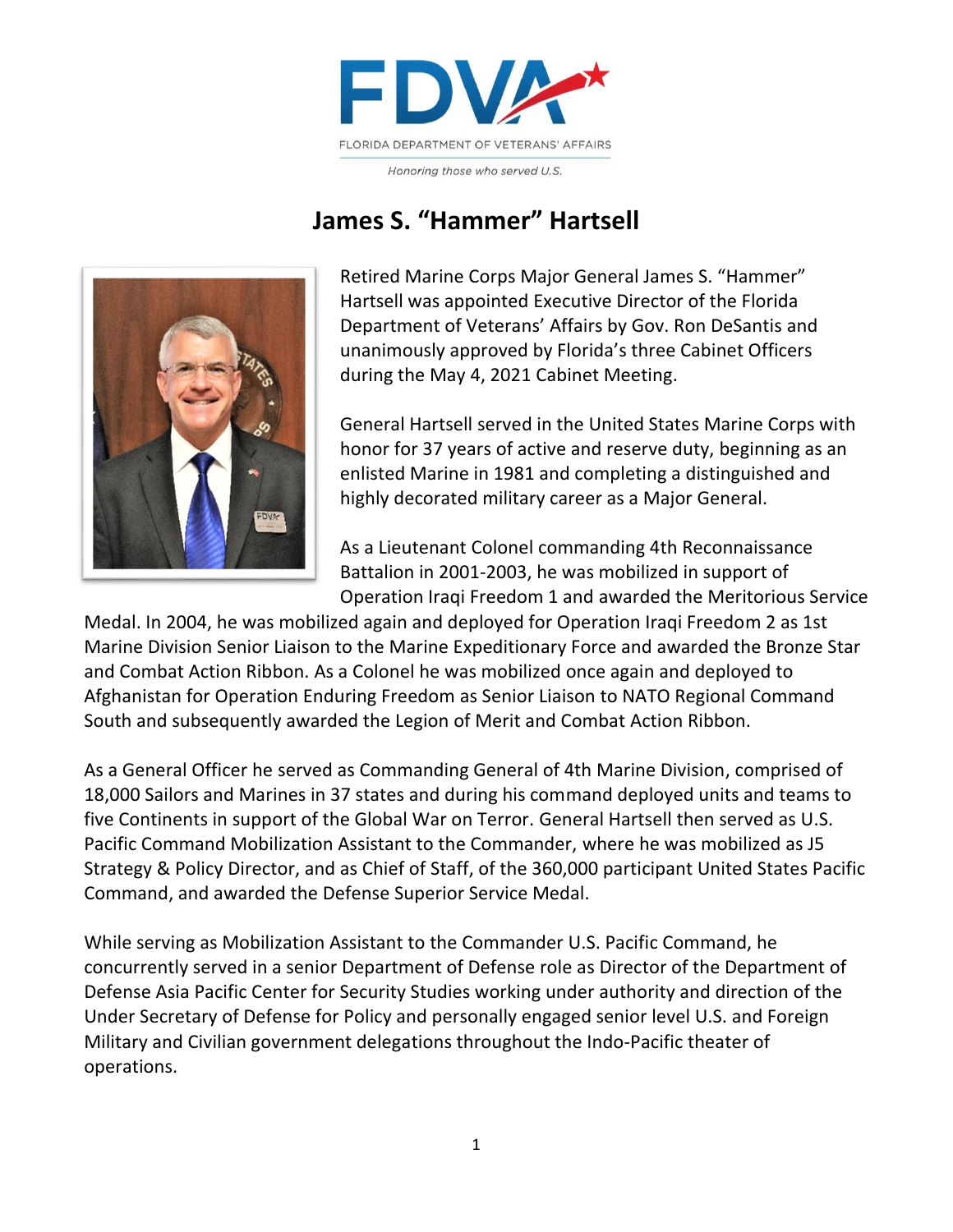

Honoring those who served U.S.

## **James S. "Hammer" Hartsell**



Retired Marine Corps Major General James S. "Hammer" Hartsell was appointed Executive Director of the Florida Department of Veterans' Affairs by Gov. Ron DeSantis and unanimously approved by Florida's three Cabinet Officers during the May 4, 2021 Cabinet Meeting.

General Hartsell served in the United States Marine Corps with honor for 37 years of active and reserve duty, beginning as an enlisted Marine in 1981 and completing a distinguished and highly decorated military career as a Major General.

As a Lieutenant Colonel commanding 4th Reconnaissance Battalion in 2001-2003, he was mobilized in support of Operation Iraqi Freedom 1 and awarded the Meritorious Service

Medal. In 2004, he was mobilized again and deployed for Operation Iraqi Freedom 2 as 1st Marine Division Senior Liaison to the Marine Expeditionary Force and awarded the Bronze Star and Combat Action Ribbon. As a Colonel he was mobilized once again and deployed to Afghanistan for Operation Enduring Freedom as Senior Liaison to NATO Regional Command South and subsequently awarded the Legion of Merit and Combat Action Ribbon.

As a General Officer he served as Commanding General of 4th Marine Division, comprised of 18,000 Sailors and Marines in 37 states and during his command deployed units and teams to five Continents in support of the Global War on Terror. General Hartsell then served as U.S. Pacific Command Mobilization Assistant to the Commander, where he was mobilized as J5 Strategy & Policy Director, and as Chief of Staff, of the 360,000 participant United States Pacific Command, and awarded the Defense Superior Service Medal.

While serving as Mobilization Assistant to the Commander U.S. Pacific Command, he concurrently served in a senior Department of Defense role as Director of the Department of Defense Asia Pacific Center for Security Studies working under authority and direction of the Under Secretary of Defense for Policy and personally engaged senior level U.S. and Foreign Military and Civilian government delegations throughout the Indo-Pacific theater of operations.